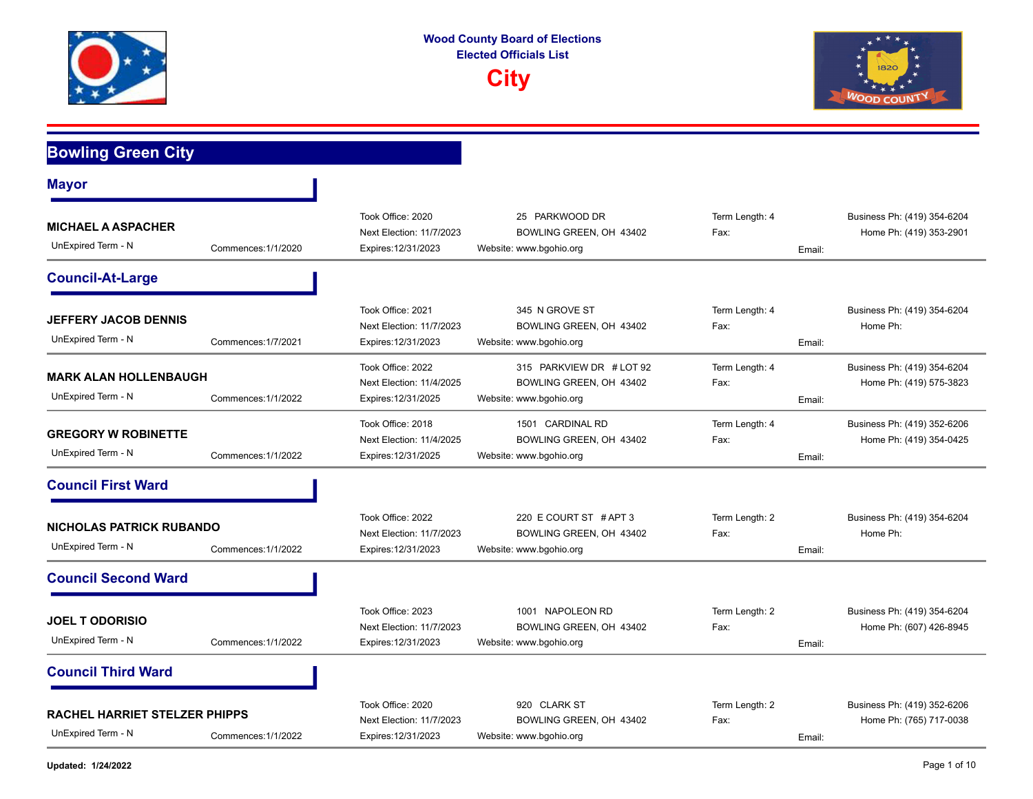



## **Bowling Green City Mayor MICHAEL A ASPACHER**  Commences:1/1/2020 Next Election: 11/7/2023 BOWLING GREEN, OH 43402 Fax: Home Ph: (419) 353-2901 Expires:12/31/2023 Website: www.bgohio.org **Email:** Email: Took Office: 2020 25 PARKWOOD DR Term Length: 4 Business Ph: (419) 354-6204 UnExpired Term - N **Council-At-Large JEFFERY JACOB DENNIS**  Commences:1/7/2021 BOWLING GREEN, OH 43402 Next Election: 11/7/2023 Fax: Home Ph: Expires:12/31/2023 Website: www.bgohio.org **Email:** Email: Took Office: 2021 345 N GROVE ST Term Length: 4 Business Ph: (419) 354-6204 UnExpired Term - N **MARK ALAN HOLLENBAUGH**  Commences:1/1/2022 BOWLING GREEN, OH 43402 Next Election: 11/4/2025 Fax: Home Ph: (419) 575-3823 Expires:12/31/2025 Website: www.bgohio.org **Email:** Email: Took Office: 2022 315 PARKVIEW DR # LOT 92 Term Length: 4 Business Ph: (419) 354-6204 UnExpired Term - N **GREGORY W ROBINETTE**  Commences:1/1/2022 BOWLING GREEN, OH 43402 Next Election: 11/4/2025 Fax: Home Ph: (419) 354-0425 Expires:12/31/2025 Website: www.bgohio.org **Email:** Email: Took Office: 2018 1501 CARDINAL RD Term Length: 4 Business Ph: (419) 352-6206 UnExpired Term - N **Council First Ward NICHOLAS PATRICK RUBANDO**  Commences:1/1/2022 Next Election: 11/7/2023 BOWLING GREEN, OH 43402 Fax: Fax: Fax: Home Ph: Expires:12/31/2023 Website: www.bgohio.org **Email:** Email: Took Office: 2022 220 E COURT ST # APT 3 Term Length: 2 Business Ph: (419) 354-6204 UnExpired Term - N **Council Second Ward JOEL T ODORISIO**  Commences:1/1/2022 Next Election: 11/7/2023 BOWLING GREEN, OH 43402 Fax: Home Ph: (607) 426-8945 Expires:12/31/2023 Website: www.bgohio.org **Email:** Email: Took Office: 2023 1001 NAPOLEON RD Term Length: 2 Business Ph: (419) 354-6204 UnExpired Term - N **Council Third Ward RACHEL HARRIET STELZER PHIPPS**  Commences:1/1/2022 BOWLING GREEN, OH 43402 Next Election: 11/7/2023 Fax: Home Ph: (765) 717-0038 Expires:12/31/2023 Website: www.bgohio.org **Email:** Email: Took Office: 2020 920 CLARK ST Term Length: 2 Business Ph: (419) 352-6206 UnExpired Term - N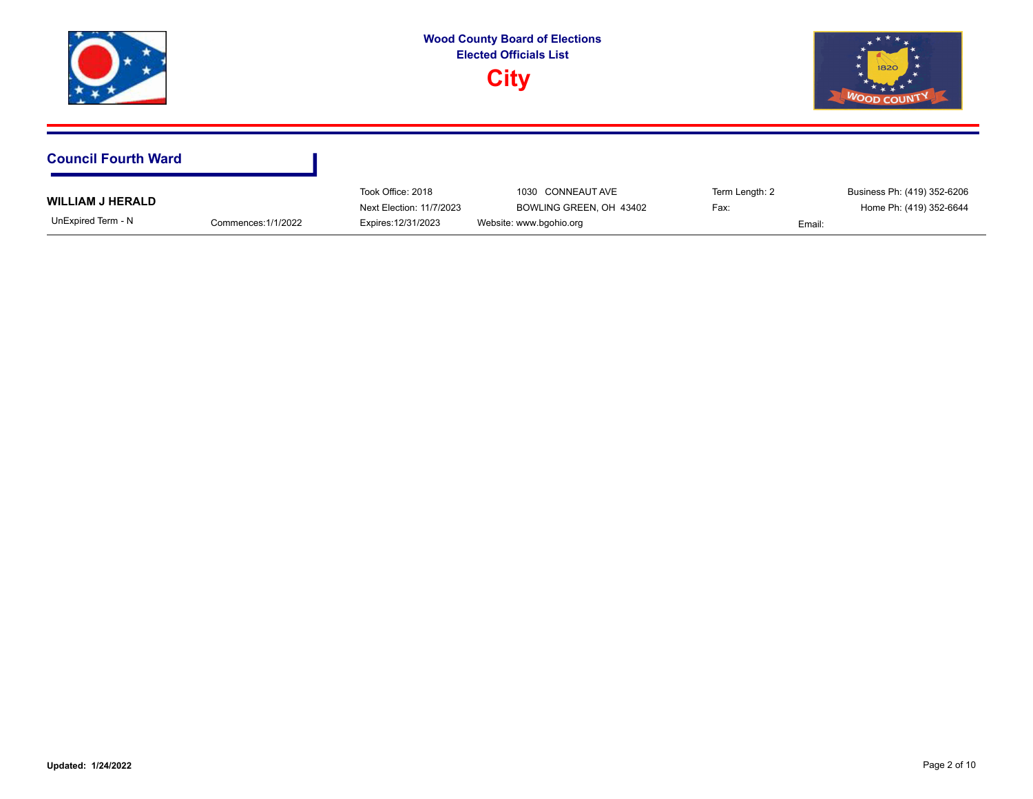|                                               |                     |                                                                      | <b>Wood County Board of Elections</b><br><b>Elected Officials List</b><br><b>City</b> |                        | 1820<br><b>WOOD COUNT</b>                                        |
|-----------------------------------------------|---------------------|----------------------------------------------------------------------|---------------------------------------------------------------------------------------|------------------------|------------------------------------------------------------------|
| <b>Council Fourth Ward</b>                    |                     |                                                                      |                                                                                       |                        |                                                                  |
| <b>WILLIAM J HERALD</b><br>UnExpired Term - N | Commences: 1/1/2022 | Took Office: 2018<br>Next Election: 11/7/2023<br>Expires: 12/31/2023 | 1030 CONNEAUT AVE<br>BOWLING GREEN, OH 43402<br>Website: www.bgohio.org               | Term Length: 2<br>Fax: | Business Ph: (419) 352-6206<br>Home Ph: (419) 352-6644<br>Email: |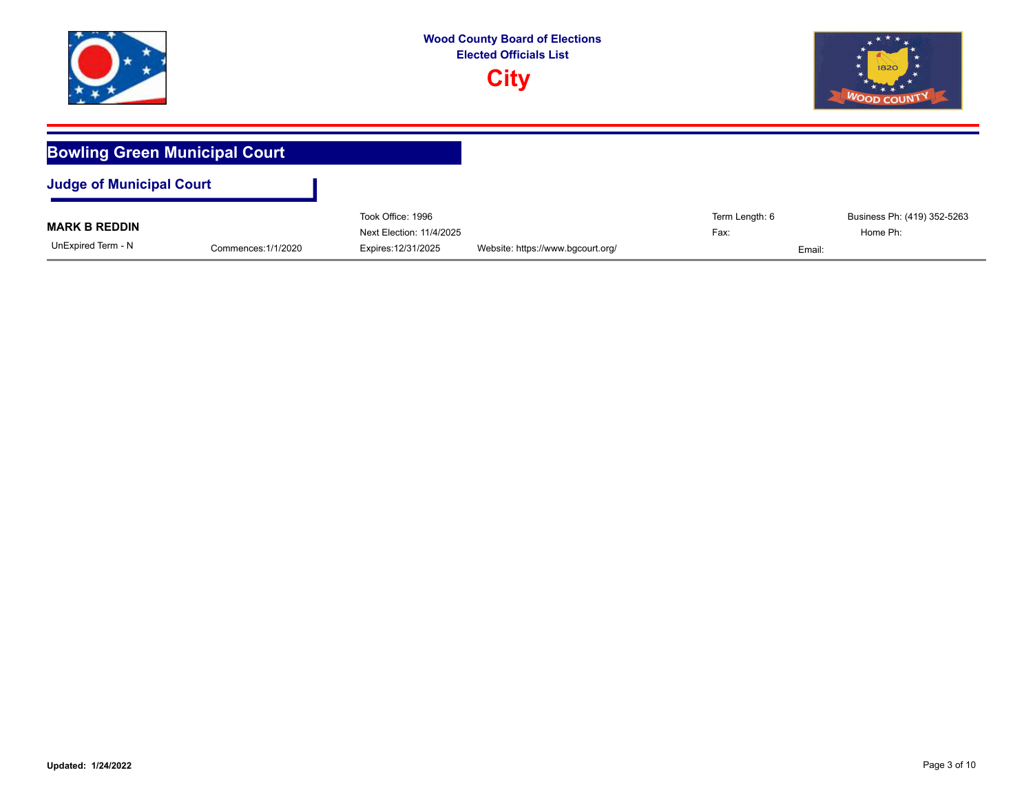





| <b>Bowling Green Municipal Court</b> |                     |                                               |                                   |                        |                                         |  |  |
|--------------------------------------|---------------------|-----------------------------------------------|-----------------------------------|------------------------|-----------------------------------------|--|--|
| <b>Judge of Municipal Court</b>      |                     |                                               |                                   |                        |                                         |  |  |
| <b>MARK B REDDIN</b>                 |                     | Took Office: 1996<br>Next Election: 11/4/2025 |                                   | Term Length: 6<br>Fax: | Business Ph: (419) 352-5263<br>Home Ph: |  |  |
| UnExpired Term - N                   | Commences: 1/1/2020 | Expires: 12/31/2025                           | Website: https://www.bgcourt.org/ | Email:                 |                                         |  |  |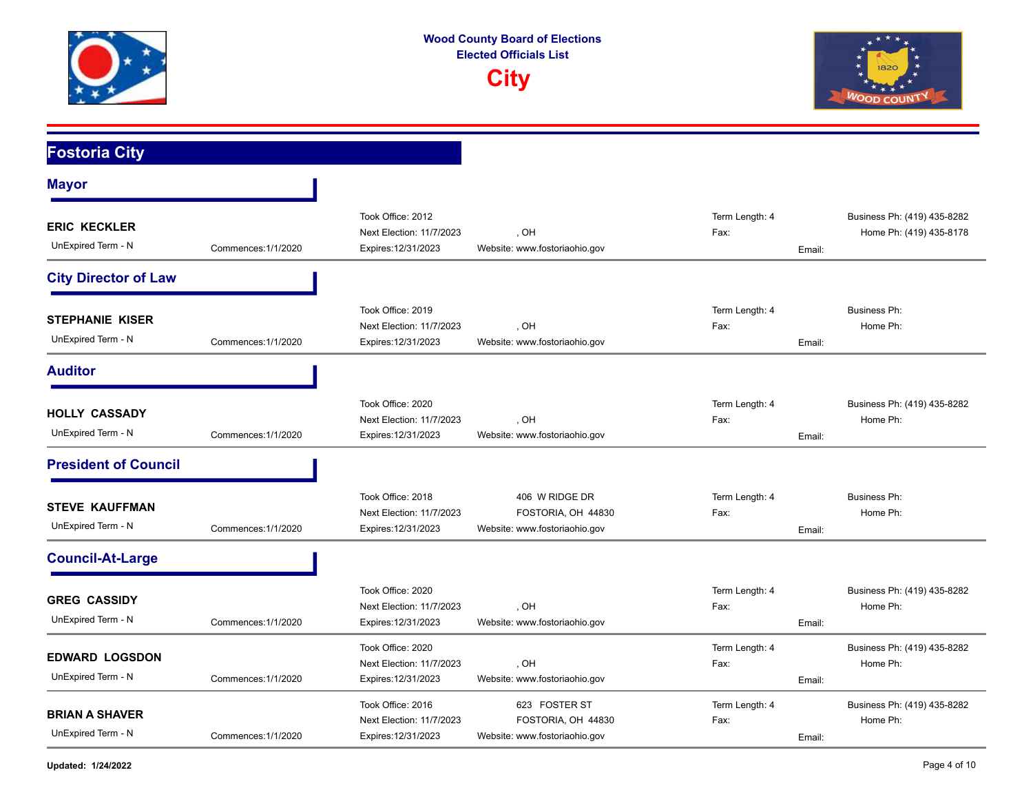





| <b>Fostoria City</b>                         |                     |                                                                      |                                                                       |                                  |                                                        |
|----------------------------------------------|---------------------|----------------------------------------------------------------------|-----------------------------------------------------------------------|----------------------------------|--------------------------------------------------------|
| <b>Mayor</b>                                 |                     |                                                                      |                                                                       |                                  |                                                        |
| <b>ERIC KECKLER</b><br>UnExpired Term - N    | Commences: 1/1/2020 | Took Office: 2012<br>Next Election: 11/7/2023<br>Expires: 12/31/2023 | . OH<br>Website: www.fostoriaohio.gov                                 | Term Length: 4<br>Fax:<br>Email: | Business Ph: (419) 435-8282<br>Home Ph: (419) 435-8178 |
| <b>City Director of Law</b>                  |                     |                                                                      |                                                                       |                                  |                                                        |
| <b>STEPHANIE KISER</b><br>UnExpired Term - N | Commences: 1/1/2020 | Took Office: 2019<br>Next Election: 11/7/2023<br>Expires: 12/31/2023 | . OH<br>Website: www.fostoriaohio.gov                                 | Term Length: 4<br>Fax:<br>Email: | <b>Business Ph:</b><br>Home Ph:                        |
| <b>Auditor</b>                               |                     |                                                                      |                                                                       |                                  |                                                        |
| <b>HOLLY CASSADY</b><br>UnExpired Term - N   | Commences: 1/1/2020 | Took Office: 2020<br>Next Election: 11/7/2023<br>Expires: 12/31/2023 | . OH<br>Website: www.fostoriaohio.gov                                 | Term Length: 4<br>Fax:<br>Email: | Business Ph: (419) 435-8282<br>Home Ph:                |
| <b>President of Council</b>                  |                     |                                                                      |                                                                       |                                  |                                                        |
| <b>STEVE KAUFFMAN</b><br>UnExpired Term - N  | Commences: 1/1/2020 | Took Office: 2018<br>Next Election: 11/7/2023<br>Expires: 12/31/2023 | 406 W RIDGE DR<br>FOSTORIA, OH 44830<br>Website: www.fostoriaohio.gov | Term Length: 4<br>Fax:<br>Email: | <b>Business Ph:</b><br>Home Ph:                        |
| <b>Council-At-Large</b>                      |                     |                                                                      |                                                                       |                                  |                                                        |
| <b>GREG CASSIDY</b><br>UnExpired Term - N    | Commences: 1/1/2020 | Took Office: 2020<br>Next Election: 11/7/2023<br>Expires: 12/31/2023 | HO,<br>Website: www.fostoriaohio.gov                                  | Term Length: 4<br>Fax:<br>Email: | Business Ph: (419) 435-8282<br>Home Ph:                |
| <b>EDWARD LOGSDON</b><br>UnExpired Term - N  | Commences: 1/1/2020 | Took Office: 2020<br>Next Election: 11/7/2023<br>Expires: 12/31/2023 | . OH<br>Website: www.fostoriaohio.gov                                 | Term Length: 4<br>Fax:<br>Email: | Business Ph: (419) 435-8282<br>Home Ph:                |
| <b>BRIAN A SHAVER</b><br>UnExpired Term - N  | Commences: 1/1/2020 | Took Office: 2016<br>Next Election: 11/7/2023<br>Expires: 12/31/2023 | 623 FOSTER ST<br>FOSTORIA, OH 44830<br>Website: www.fostoriaohio.gov  | Term Length: 4<br>Fax:<br>Email: | Business Ph: (419) 435-8282<br>Home Ph:                |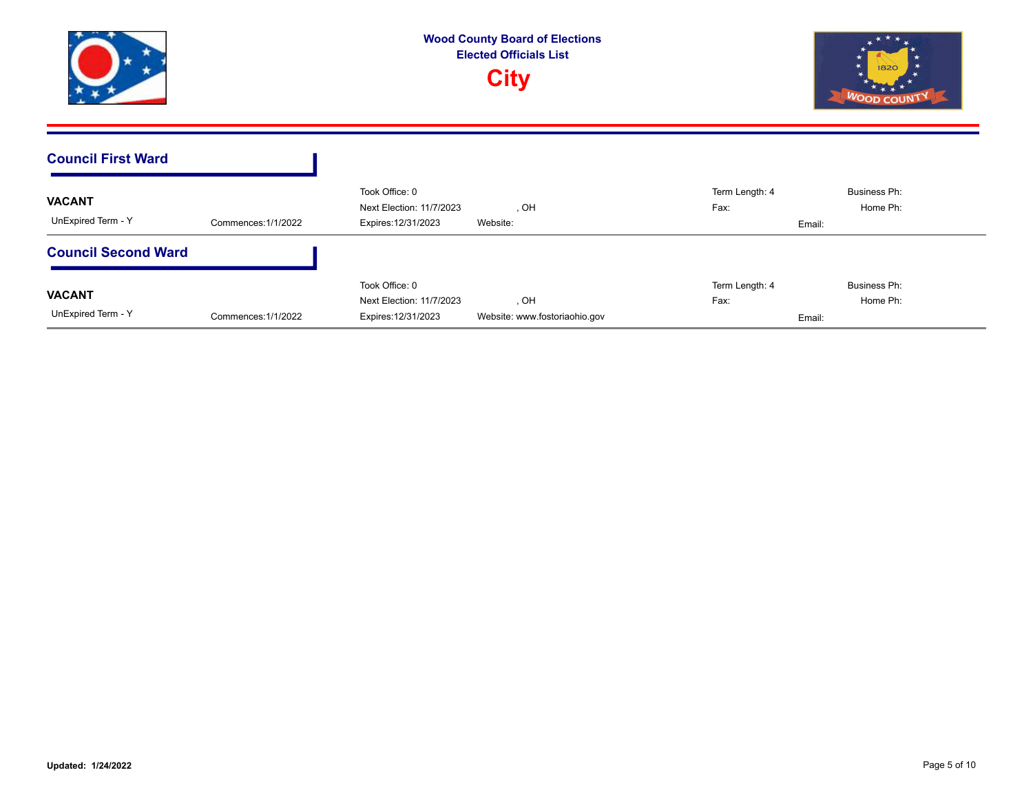





| <b>Council First Ward</b>           |                     |                                                                   |                                       |                        |                                    |
|-------------------------------------|---------------------|-------------------------------------------------------------------|---------------------------------------|------------------------|------------------------------------|
| <b>VACANT</b><br>UnExpired Term - Y | Commences: 1/1/2022 | Took Office: 0<br>Next Election: 11/7/2023<br>Expires: 12/31/2023 | , OH<br>Website:                      | Term Length: 4<br>Fax: | Business Ph:<br>Home Ph:<br>Email: |
| <b>Council Second Ward</b>          |                     |                                                                   |                                       |                        |                                    |
| <b>VACANT</b><br>UnExpired Term - Y | Commences: 1/1/2022 | Took Office: 0<br>Next Election: 11/7/2023<br>Expires: 12/31/2023 | , OH<br>Website: www.fostoriaohio.gov | Term Length: 4<br>Fax: | Business Ph:<br>Home Ph:<br>Email: |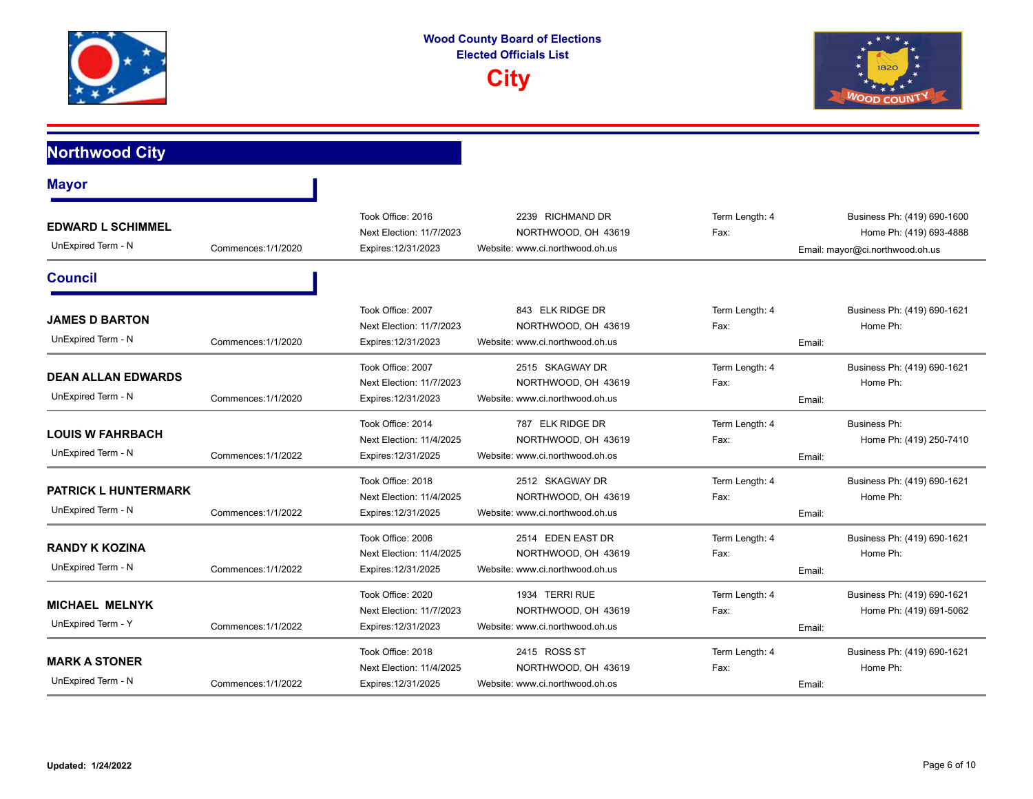



## **Northwood City**

| <b>Mayor</b>                                      |                     |                                                                      |                                                                             |                                  |                                                                                           |
|---------------------------------------------------|---------------------|----------------------------------------------------------------------|-----------------------------------------------------------------------------|----------------------------------|-------------------------------------------------------------------------------------------|
| <b>EDWARD L SCHIMMEL</b><br>UnExpired Term - N    | Commences: 1/1/2020 | Took Office: 2016<br>Next Election: 11/7/2023<br>Expires: 12/31/2023 | 2239 RICHMAND DR<br>NORTHWOOD, OH 43619<br>Website: www.ci.northwood.oh.us  | Term Length: 4<br>Fax:           | Business Ph: (419) 690-1600<br>Home Ph: (419) 693-4888<br>Email: mayor@ci.northwood.oh.us |
| <b>Council</b>                                    |                     |                                                                      |                                                                             |                                  |                                                                                           |
| <b>JAMES D BARTON</b><br>UnExpired Term - N       | Commences: 1/1/2020 | Took Office: 2007<br>Next Election: 11/7/2023<br>Expires: 12/31/2023 | 843 ELK RIDGE DR<br>NORTHWOOD, OH 43619<br>Website: www.ci.northwood.oh.us  | Term Length: 4<br>Fax:<br>Email: | Business Ph: (419) 690-1621<br>Home Ph:                                                   |
| <b>DEAN ALLAN EDWARDS</b><br>UnExpired Term - N   | Commences: 1/1/2020 | Took Office: 2007<br>Next Election: 11/7/2023<br>Expires: 12/31/2023 | 2515 SKAGWAY DR<br>NORTHWOOD, OH 43619<br>Website: www.ci.northwood.oh.us   | Term Length: 4<br>Fax:<br>Email: | Business Ph: (419) 690-1621<br>Home Ph:                                                   |
| <b>LOUIS W FAHRBACH</b><br>UnExpired Term - N     | Commences: 1/1/2022 | Took Office: 2014<br>Next Election: 11/4/2025<br>Expires: 12/31/2025 | 787 ELK RIDGE DR<br>NORTHWOOD, OH 43619<br>Website: www.ci.northwood.oh.os  | Term Length: 4<br>Fax:<br>Email: | <b>Business Ph:</b><br>Home Ph: (419) 250-7410                                            |
| <b>PATRICK L HUNTERMARK</b><br>UnExpired Term - N | Commences: 1/1/2022 | Took Office: 2018<br>Next Election: 11/4/2025<br>Expires: 12/31/2025 | 2512 SKAGWAY DR<br>NORTHWOOD, OH 43619<br>Website: www.ci.northwood.oh.us   | Term Length: 4<br>Fax:<br>Email: | Business Ph: (419) 690-1621<br>Home Ph:                                                   |
| <b>RANDY K KOZINA</b><br>UnExpired Term - N       | Commences: 1/1/2022 | Took Office: 2006<br>Next Election: 11/4/2025<br>Expires: 12/31/2025 | 2514 EDEN EAST DR<br>NORTHWOOD, OH 43619<br>Website: www.ci.northwood.oh.us | Term Length: 4<br>Fax:<br>Email: | Business Ph: (419) 690-1621<br>Home Ph:                                                   |
| <b>MICHAEL MELNYK</b><br>UnExpired Term - Y       | Commences: 1/1/2022 | Took Office: 2020<br>Next Election: 11/7/2023<br>Expires: 12/31/2023 | 1934 TERRI RUE<br>NORTHWOOD, OH 43619<br>Website: www.ci.northwood.oh.us    | Term Length: 4<br>Fax:<br>Email: | Business Ph: (419) 690-1621<br>Home Ph: (419) 691-5062                                    |
| <b>MARK A STONER</b><br>UnExpired Term - N        | Commences: 1/1/2022 | Took Office: 2018<br>Next Election: 11/4/2025<br>Expires: 12/31/2025 | 2415 ROSS ST<br>NORTHWOOD, OH 43619<br>Website: www.ci.northwood.oh.os      | Term Length: 4<br>Fax:<br>Email: | Business Ph: (419) 690-1621<br>Home Ph:                                                   |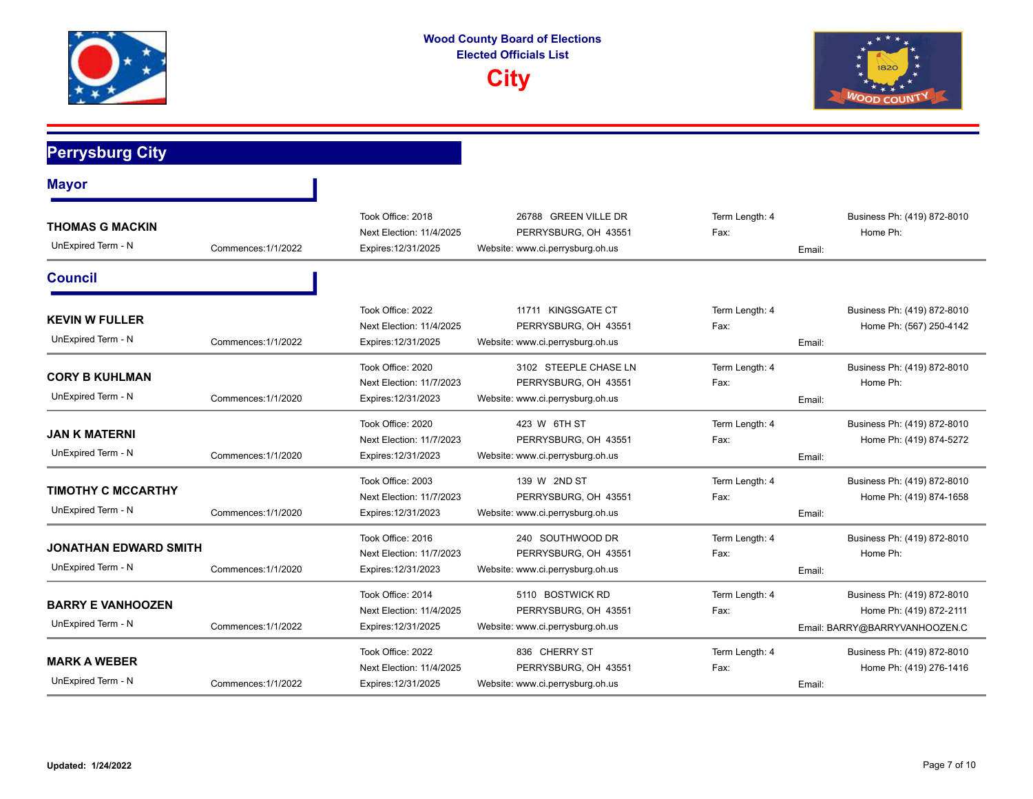



## **Perrysburg City**

| <b>Mayor</b>                                    |                     |                                                                      |                                                                                   |                                  |                                                                                         |
|-------------------------------------------------|---------------------|----------------------------------------------------------------------|-----------------------------------------------------------------------------------|----------------------------------|-----------------------------------------------------------------------------------------|
| <b>THOMAS G MACKIN</b><br>UnExpired Term - N    | Commences: 1/1/2022 | Took Office: 2018<br>Next Election: 11/4/2025<br>Expires: 12/31/2025 | 26788 GREEN VILLE DR<br>PERRYSBURG, OH 43551<br>Website: www.ci.perrysburg.oh.us  | Term Length: 4<br>Fax:<br>Email: | Business Ph: (419) 872-8010<br>Home Ph:                                                 |
| <b>Council</b>                                  |                     |                                                                      |                                                                                   |                                  |                                                                                         |
| <b>KEVIN W FULLER</b><br>UnExpired Term - N     | Commences: 1/1/2022 | Took Office: 2022<br>Next Election: 11/4/2025<br>Expires: 12/31/2025 | 11711 KINGSGATE CT<br>PERRYSBURG, OH 43551<br>Website: www.ci.perrysburg.oh.us    | Term Length: 4<br>Fax:<br>Email: | Business Ph: (419) 872-8010<br>Home Ph: (567) 250-4142                                  |
| <b>CORY B KUHLMAN</b><br>UnExpired Term - N     | Commences: 1/1/2020 | Took Office: 2020<br>Next Election: 11/7/2023<br>Expires: 12/31/2023 | 3102 STEEPLE CHASE LN<br>PERRYSBURG, OH 43551<br>Website: www.ci.perrysburg.oh.us | Term Length: 4<br>Fax:<br>Email: | Business Ph: (419) 872-8010<br>Home Ph:                                                 |
| <b>JAN K MATERNI</b><br>UnExpired Term - N      | Commences: 1/1/2020 | Took Office: 2020<br>Next Election: 11/7/2023<br>Expires: 12/31/2023 | 423 W 6TH ST<br>PERRYSBURG, OH 43551<br>Website: www.ci.perrysburg.oh.us          | Term Length: 4<br>Fax:<br>Email: | Business Ph: (419) 872-8010<br>Home Ph: (419) 874-5272                                  |
| <b>TIMOTHY C MCCARTHY</b><br>UnExpired Term - N | Commences: 1/1/2020 | Took Office: 2003<br>Next Election: 11/7/2023<br>Expires: 12/31/2023 | 139 W 2ND ST<br>PERRYSBURG, OH 43551<br>Website: www.ci.perrysburg.oh.us          | Term Length: 4<br>Fax:<br>Email: | Business Ph: (419) 872-8010<br>Home Ph: (419) 874-1658                                  |
| JONATHAN EDWARD SMITH<br>UnExpired Term - N     | Commences: 1/1/2020 | Took Office: 2016<br>Next Election: 11/7/2023<br>Expires: 12/31/2023 | 240 SOUTHWOOD DR<br>PERRYSBURG, OH 43551<br>Website: www.ci.perrysburg.oh.us      | Term Length: 4<br>Fax:<br>Email: | Business Ph: (419) 872-8010<br>Home Ph:                                                 |
| <b>BARRY E VANHOOZEN</b><br>UnExpired Term - N  | Commences: 1/1/2022 | Took Office: 2014<br>Next Election: 11/4/2025<br>Expires: 12/31/2025 | 5110 BOSTWICK RD<br>PERRYSBURG, OH 43551<br>Website: www.ci.perrysburg.oh.us      | Term Length: 4<br>Fax:           | Business Ph: (419) 872-8010<br>Home Ph: (419) 872-2111<br>Email: BARRY@BARRYVANHOOZEN.C |
| <b>MARK A WEBER</b><br>UnExpired Term - N       | Commences: 1/1/2022 | Took Office: 2022<br>Next Election: 11/4/2025<br>Expires: 12/31/2025 | 836 CHERRY ST<br>PERRYSBURG, OH 43551<br>Website: www.ci.perrysburg.oh.us         | Term Length: 4<br>Fax:<br>Email: | Business Ph: (419) 872-8010<br>Home Ph: (419) 276-1416                                  |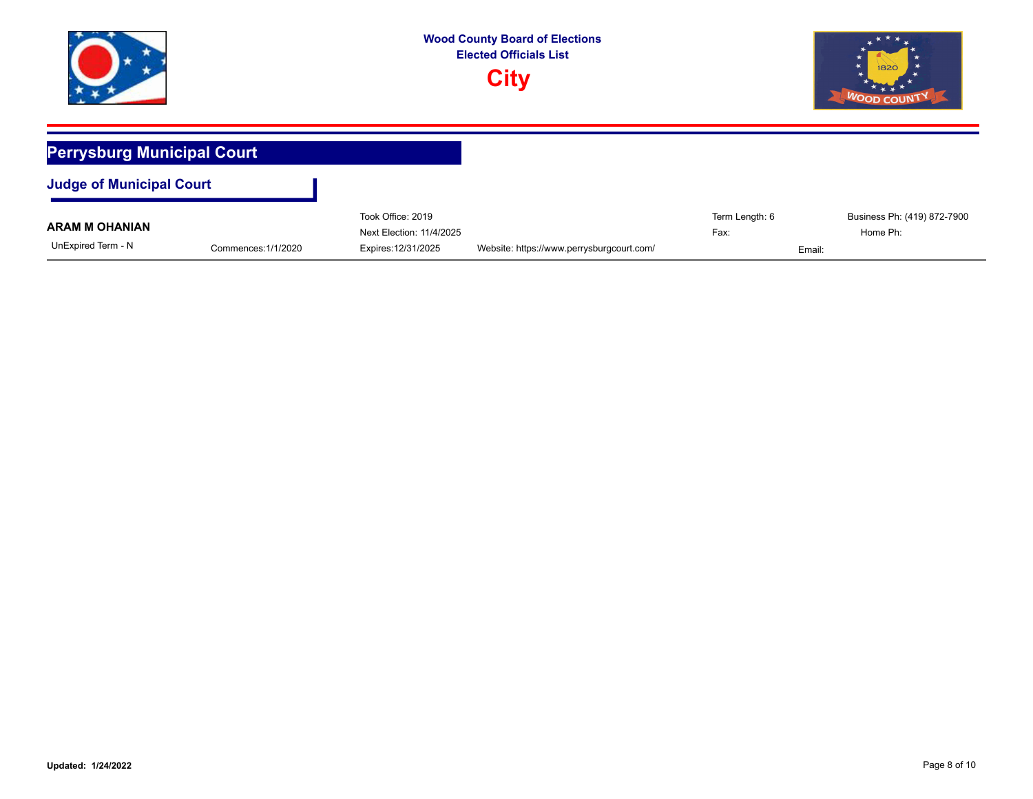

|                       |                     | Took Office: 2019        |                                           | Term Length: 6 | Business Ph: (419) 872-7900 |
|-----------------------|---------------------|--------------------------|-------------------------------------------|----------------|-----------------------------|
| <b>ARAM M OHANIAN</b> |                     | Next Election: 11/4/2025 |                                           | Fax:           | Home Ph:                    |
| UnExpired Term - N    | Commences: 1/1/2020 | Expires: 12/31/2025      | Website: https://www.perrysburgcourt.com/ |                | Email:                      |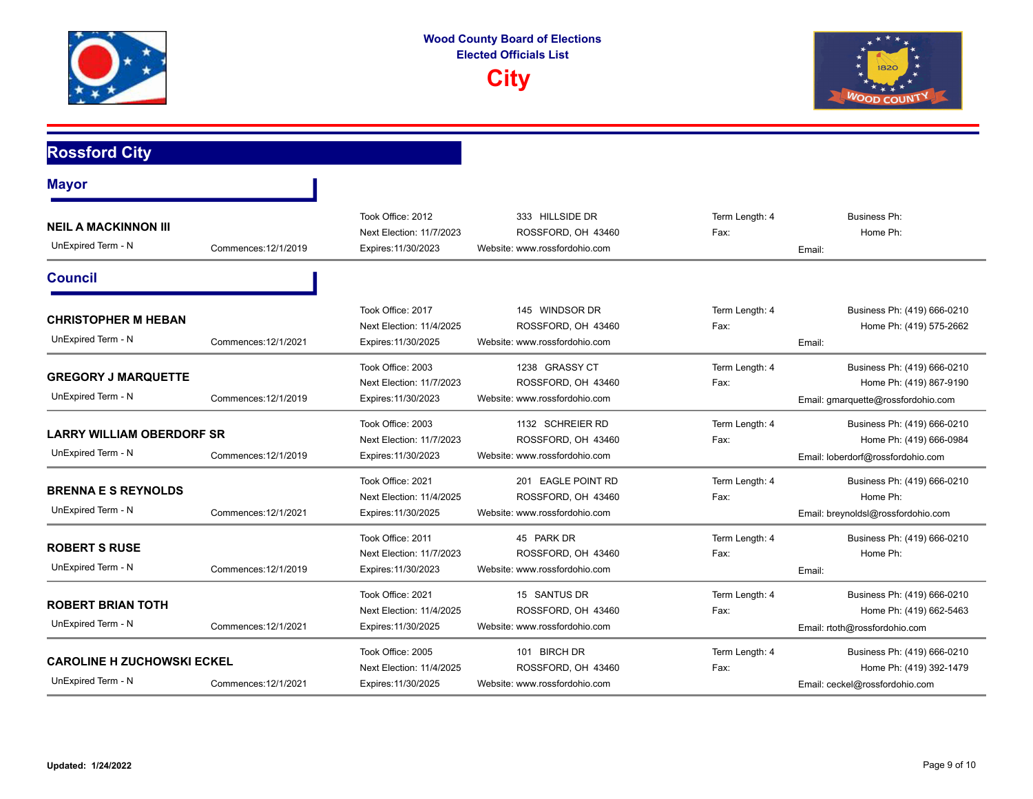



## **Rossford City**

| <b>Mayor</b>                                            |                      |                                                                      |                                                                           |                                  |                                                                                              |
|---------------------------------------------------------|----------------------|----------------------------------------------------------------------|---------------------------------------------------------------------------|----------------------------------|----------------------------------------------------------------------------------------------|
| <b>NEIL A MACKINNON III</b><br>UnExpired Term - N       | Commences: 12/1/2019 | Took Office: 2012<br>Next Election: 11/7/2023<br>Expires: 11/30/2023 | 333 HILLSIDE DR<br>ROSSFORD, OH 43460<br>Website: www.rossfordohio.com    | Term Length: 4<br>Fax:<br>Email: | <b>Business Ph:</b><br>Home Ph:                                                              |
| <b>Council</b>                                          |                      |                                                                      |                                                                           |                                  |                                                                                              |
| <b>CHRISTOPHER M HEBAN</b><br>UnExpired Term - N        | Commences: 12/1/2021 | Took Office: 2017<br>Next Election: 11/4/2025<br>Expires: 11/30/2025 | 145 WINDSOR DR<br>ROSSFORD, OH 43460<br>Website: www.rossfordohio.com     | Term Length: 4<br>Fax:<br>Email: | Business Ph: (419) 666-0210<br>Home Ph: (419) 575-2662                                       |
| <b>GREGORY J MARQUETTE</b><br>UnExpired Term - N        | Commences: 12/1/2019 | Took Office: 2003<br>Next Election: 11/7/2023<br>Expires: 11/30/2023 | 1238 GRASSY CT<br>ROSSFORD, OH 43460<br>Website: www.rossfordohio.com     | Term Length: 4<br>Fax:           | Business Ph: (419) 666-0210<br>Home Ph: (419) 867-9190<br>Email: gmarquette@rossfordohio.com |
| <b>LARRY WILLIAM OBERDORF SR</b><br>UnExpired Term - N  | Commences: 12/1/2019 | Took Office: 2003<br>Next Election: 11/7/2023<br>Expires: 11/30/2023 | 1132 SCHREIER RD<br>ROSSFORD, OH 43460<br>Website: www.rossfordohio.com   | Term Length: 4<br>Fax:           | Business Ph: (419) 666-0210<br>Home Ph: (419) 666-0984<br>Email: loberdorf@rossfordohio.com  |
| <b>BRENNA E S REYNOLDS</b><br>UnExpired Term - N        | Commences: 12/1/2021 | Took Office: 2021<br>Next Election: 11/4/2025<br>Expires: 11/30/2025 | 201 EAGLE POINT RD<br>ROSSFORD, OH 43460<br>Website: www.rossfordohio.com | Term Length: 4<br>Fax:           | Business Ph: (419) 666-0210<br>Home Ph:<br>Email: breynoldsl@rossfordohio.com                |
| <b>ROBERT S RUSE</b><br>UnExpired Term - N              | Commences: 12/1/2019 | Took Office: 2011<br>Next Election: 11/7/2023<br>Expires: 11/30/2023 | 45 PARK DR<br>ROSSFORD, OH 43460<br>Website: www.rossfordohio.com         | Term Length: 4<br>Fax:<br>Email: | Business Ph: (419) 666-0210<br>Home Ph:                                                      |
| <b>ROBERT BRIAN TOTH</b><br>UnExpired Term - N          | Commences: 12/1/2021 | Took Office: 2021<br>Next Election: 11/4/2025<br>Expires: 11/30/2025 | 15 SANTUS DR<br>ROSSFORD, OH 43460<br>Website: www.rossfordohio.com       | Term Length: 4<br>Fax:           | Business Ph: (419) 666-0210<br>Home Ph: (419) 662-5463<br>Email: rtoth@rossfordohio.com      |
| <b>CAROLINE H ZUCHOWSKI ECKEL</b><br>UnExpired Term - N | Commences: 12/1/2021 | Took Office: 2005<br>Next Election: 11/4/2025<br>Expires: 11/30/2025 | 101 BIRCH DR<br>ROSSFORD, OH 43460<br>Website: www.rossfordohio.com       | Term Length: 4<br>Fax:           | Business Ph: (419) 666-0210<br>Home Ph: (419) 392-1479<br>Email: ceckel@rossfordohio.com     |